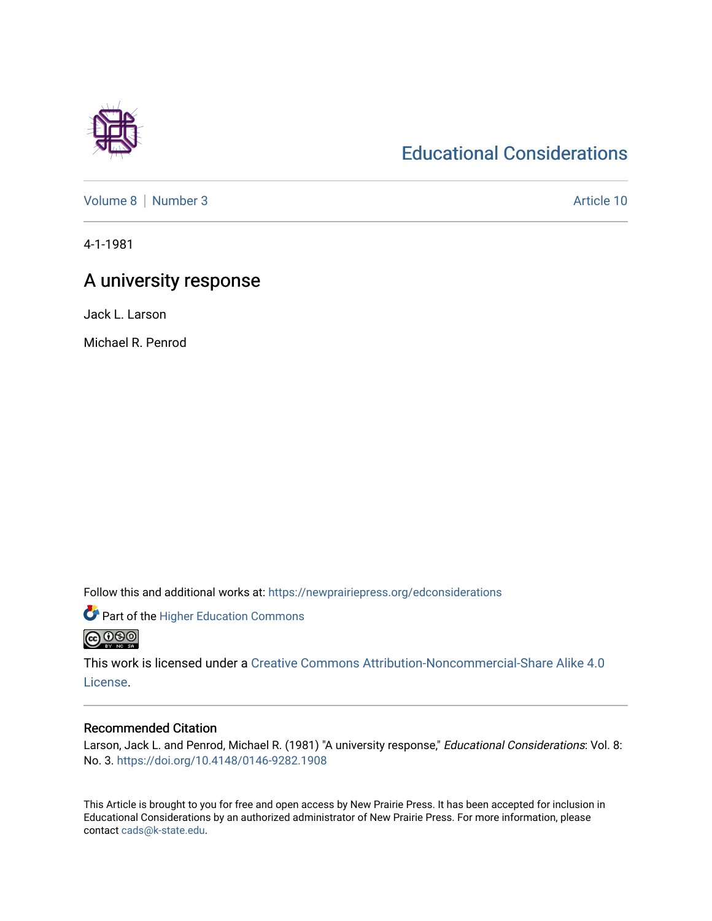## [Educational Considerations](https://newprairiepress.org/edconsiderations)

[Volume 8](https://newprairiepress.org/edconsiderations/vol8) | [Number 3](https://newprairiepress.org/edconsiderations/vol8/iss3) Article 10

4-1-1981

## A university response

Jack L. Larson

Michael R. Penrod

Follow this and additional works at: [https://newprairiepress.org/edconsiderations](https://newprairiepress.org/edconsiderations?utm_source=newprairiepress.org%2Fedconsiderations%2Fvol8%2Fiss3%2F10&utm_medium=PDF&utm_campaign=PDFCoverPages) 

**Part of the Higher Education Commons** 

<u> @ ලෙම</u>

This work is licensed under a [Creative Commons Attribution-Noncommercial-Share Alike 4.0](https://creativecommons.org/licenses/by-nc-sa/4.0/) [License.](https://creativecommons.org/licenses/by-nc-sa/4.0/)

### Recommended Citation

Larson, Jack L. and Penrod, Michael R. (1981) "A university response," Educational Considerations: Vol. 8: No. 3. <https://doi.org/10.4148/0146-9282.1908>

This Article is brought to you for free and open access by New Prairie Press. It has been accepted for inclusion in Educational Considerations by an authorized administrator of New Prairie Press. For more information, please contact [cads@k-state.edu](mailto:cads@k-state.edu).

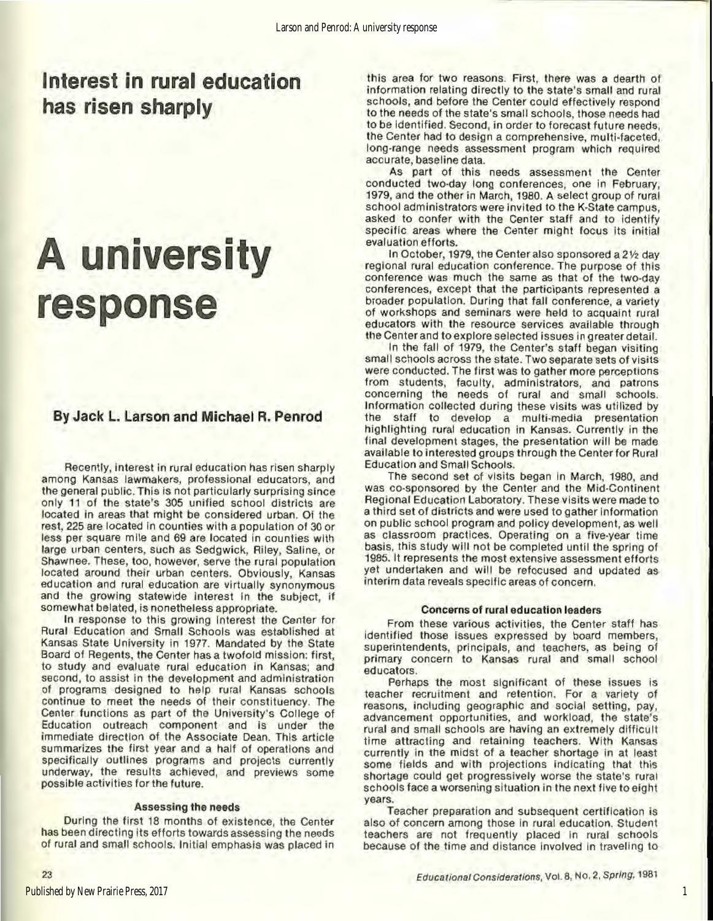## **Interest in rural education has risen sharply**

# **A university response**

### By Jack L. Larson and Michael R. Penrod

Recently, interest in rural education has risen sharply among Kansas lawmakers, professional educators, and the general public. This is not particularly surprising since only 11 of the state's 305 unified school districts are located in areas that might be considered urban. Of the rest, 225 are located in counties with a population of 30 or less per square mile and 69 are located in counties with large urban centers, such as Sedgwick, Riley, Saline, or Shawnee. These, too, however, serve the rural population located around their urban centers. Obviously, Kansas education and rural education are virtually synonymous and the growing statewide interest in the subject, if somewhat belated, is nonetheless appropriate.

In response to this growing Interest the Center for Rural Education and Small Schools was established at Kansas State University in 1977. Mandated by the State Board of Regents, the Center has a twofold mission: first, to study and evaluate rural education in Kansas; and second, to assist in the development and administration of programs designed to help rural Kansas schools continue to meet the needs of their constituency. The Center functions as part of the University's College of Education outreach component and is under the immediate direction of the Associate Dean. This article summarizes the first year and a half of operations and specifically outlines programs and projects currently underway, the results achieved, and previews some possible activities for the future.

#### Assessing the needs

During the first 18 months of existence, the Center has been directing its efforts towards assessing the needs of rural and small schools. Initial emphasis was placed in

this area for two reasons. First, there was a dearth of information relating directly to the state's small and rural schools, and before the Center could effectively respond to the needs of the state's small schools, those needs had to be Identified. Second, in order to forecast future needs, the Center had to design a comprehensive, mulli·faceted, long.range needs assessment program which required accurate, baseline data.

As part of this needs assessment the Center conducted two-day long conferences, one in February, 1979, and the other in March, 1980. A select group of rural school administrators were invited to the K·State campus, asked to confer with the Center staff and to identify specific areas where the Center might focus its initial evaluation efforts.

In October, 1979, the Center also sponsored a  $2\frac{1}{2}$  day regional rural education conference. The purpose of this conference was much the same as that of the two.day conferences, except that the participants represented a broader population. During that fall conference. a variety of workshops and seminars were held to acquaint rural educators with the resource services available through the Center and to explore selected issues in greater detail.

In the fall of 1979, the Center's staff began visiting small schools across the state. Two separate sets of visits were conducted. The first was to gather more perceptions from students, faculty, administrators, and patrons concerning the needs of rural and small schools. Information collected during these visits was utilized by the staff to develop a multi-media presentation highlighting rural education in Kansas. Currently in the final development stages, the presentation will be made available to interested groups through the Center for Rural Education and Small Schools.

The second set of visits began in March, 1980, and was co-sponsored by the Center and the Mid-Continent Regional Education Laboratory. These visits were made to a third set of districts and were used to gather Information on public school program and policy development, as well as classroom practices. Operating on a five.year time basis, this study will not be completed until the spring of 1985. It represents the most extensive assessment efforts yet undertaken and will be refocused and updated as interim data reveals specific areas of concern.

### Concerns of rural education leaders

From these various activities, the Center staff has identified those issues expressed by board members, superintendents, principals, and teachers, as being of primary concern to Kansas rural and small school educators.

Perhaps the most significant of these issues is teacher recruitment and retention. For a variety of<br>reasons, including geographic and social setting, pay, advancement opportunities, and workload, the state's rural and small schools are having an extremely difficult time attracting and retaining teachers. With Kansas currently in the midst of a teacher shortage in at least some fields and with projections indicating that this shortage could get progressively worse the state's rural schools face a worsening situation in the next five to eight years.

Teacher preparation and subsequent certification is also of concern among those in rural education. Student teachers are not frequently placed In rural schools because of the time and distance involved in traveling to

23